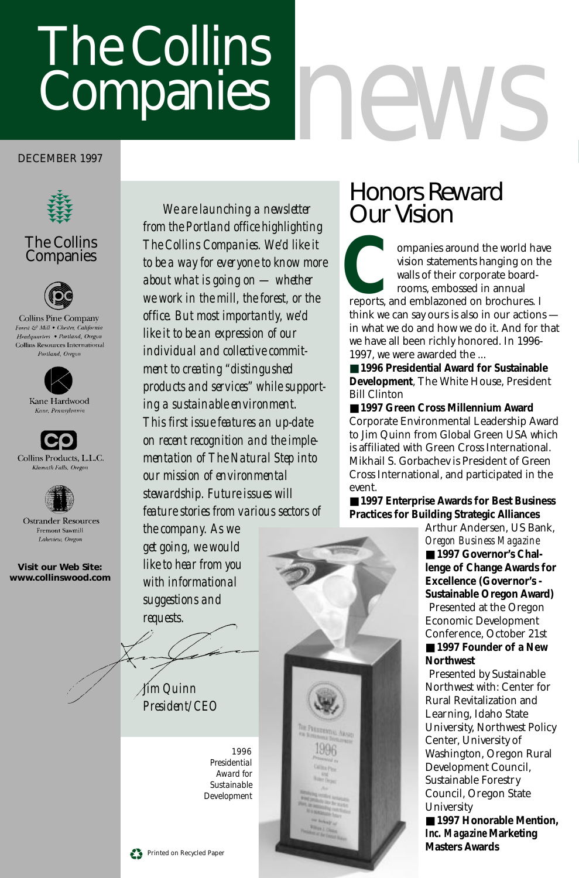# The Collins Companies

#### DECEMBER 1997



#### The Collins **Companies**



Collins Pine Company Forest & Mill . Chester, California Headquarters • Portland, Oregon Collins Resources International Portland, Oreonn



Kane Hardwood Kane, Pennsylvani







**Ostrander Resources** Fremont Sawmill Lakeview, Oregon

**Visit our Web Site: www.collinswood.com**

*We are launching a newsletter from the Portland office highlighting The Collins Companies. We'd like it to be a way for everyone to know more about what is going on — whether we work in the mill, the forest, or the office. But most importantly, we'd like it to be an expression of our individual and collective commitment to creating "distingushed products and services" while supporting a sustainable environment. This first issue features an up-date on recent recognition and the implementation of The Natural Step into our mission of environmental stewardship. Future issues will feature stories from various sectors of*

*the company. As we get going, we would like to hear from you with informational suggestions and requests.*

*Jim Quinn President/CEO*

> *1996 Presidential Award for Sustainable Development*

THE PERSONNELL ARMO

## Honors Reward Our Vision

*news*

ompanies around the world have vision statements hanging on the walls of their corporate boardrooms, embossed in annual ompanies around the world havision statements hanging on the walls of their corporate board-<br>rooms, embossed in annual<br>reports, and emblazoned on brochures. If<br>think we can say our sis also in our action think we can say ours is also in our actions in what we do and how we do it. And for that we have all been richly honored. In 1996- 1997, we were awarded the ...

■ **1996 Presidential Award for Sustainable Development**, The White House, President Bill Clinton

■ **1997 Green Cross Millennium Award** Corporate Environmental Leadership Award to Jim Quinn from Global Green USA which is affiliated with Green Cross International. Mikhail S. Gorbachev is President of Green Cross International, and participated in the event.

■ **1997 Enterprise Awards for Best Business Practices for Building Strategic Alliances**

> *Oregon Business Magazine* ■ 1997 Governor's Chal**lenge of Change Awards for Excellence (Governor's - Sustainable Oregon Award)** Presented at the Oregon Economic Development Conference, October 21st ■ **1997 Founder of a New Northwest** Presented by Sustainable Northwest with: Center for Rural Revitalization and Learning, Idaho State University, Northwest Policy Center, University of Washington, Oregon Rural Development Council, Sustainable Forestry Council, Oregon State University

Arthur Andersen, US Bank,

■ **1997 Honorable Mention**, *Inc. Magazine* **Marketing Masters Awards**

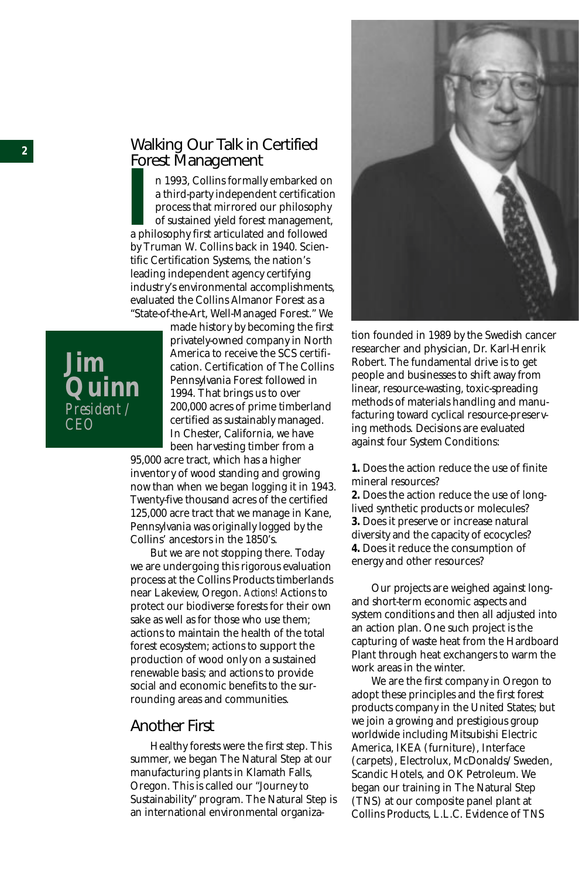#### Walking Our Talk in Certified Forest Management

**I** a third-party independent certification<br>a third-party independent certification<br>process that mirrored our philosophy<br>of sustained yield forest management<br>a philosophy first articulated and followed<br>by Tayman W. Collins n 1993, Collins formally embarked on a third-party independent certification process that mirrored our philosophy of sustained yield forest management, by Truman W. Collins back in 1940. Scientific Certification Systems, the nation's leading independent agency certifying industry's environmental accomplishments, evaluated the Collins Almanor Forest as a "State-of-the-Art, Well-Managed Forest." We

**Jim Quinn** *President / CEO*

made history by becoming the first privately-owned company in North America to receive the SCS certification. Certification of The Collins Pennsylvania Forest followed in 1994. That brings us to over 200,000 acres of prime timberland certified as sustainably managed. In Chester, California, we have been harvesting timber from a

95,000 acre tract, which has a higher inventory of wood standing and growing now than when we began logging it in 1943. Twenty-five thousand acres of the certified 125,000 acre tract that we manage in Kane, Pennsylvania was originally logged by the Collins' ancestors in the 1850's.

But we are not stopping there. Today we are undergoing this rigorous evaluation process at the Collins Products timberlands near Lakeview, Oregon. *Actions!* Actions to protect our biodiverse forests for their own sake as well as for those who use them; actions to maintain the health of the total forest ecosystem; actions to support the production of wood only on a sustained renewable basis; and actions to provide social and economic benefits to the surrounding areas and communities.

#### Another First

Healthy forests were the first step. This summer, we began The Natural Step at our manufacturing plants in Klamath Falls, Oregon. This is called our "Journey to Sustainability" program. The Natural Step is an international environmental organiza-



tion founded in 1989 by the Swedish cancer researcher and physician, Dr. Karl-Henrik Robert. The fundamental drive is to get people and businesses to shift away from linear, resource-wasting, toxic-spreading methods of materials handling and manufacturing toward cyclical resource-preserving methods. Decisions are evaluated against four System Conditions:

**1.** Does the action reduce the use of finite mineral resources?

**2.** Does the action reduce the use of longlived synthetic products or molecules? **3.** Does it preserve or increase natural diversity and the capacity of ecocycles? **4.** Does it reduce the consumption of energy and other resources?

Our projects are weighed against longand short-term economic aspects and system conditions and then all adjusted into an action plan. One such project is the capturing of waste heat from the Hardboard Plant through heat exchangers to warm the work areas in the winter.

We are the first company in Oregon to adopt these principles and the first forest products company in the United States; but we join a growing and prestigious group worldwide including Mitsubishi Electric America, IKEA (furniture), Interface (carpets), Electrolux, McDonalds/Sweden, Scandic Hotels, and OK Petroleum. We began our training in The Natural Step (TNS) at our composite panel plant at Collins Products, L.L.C. Evidence of TNS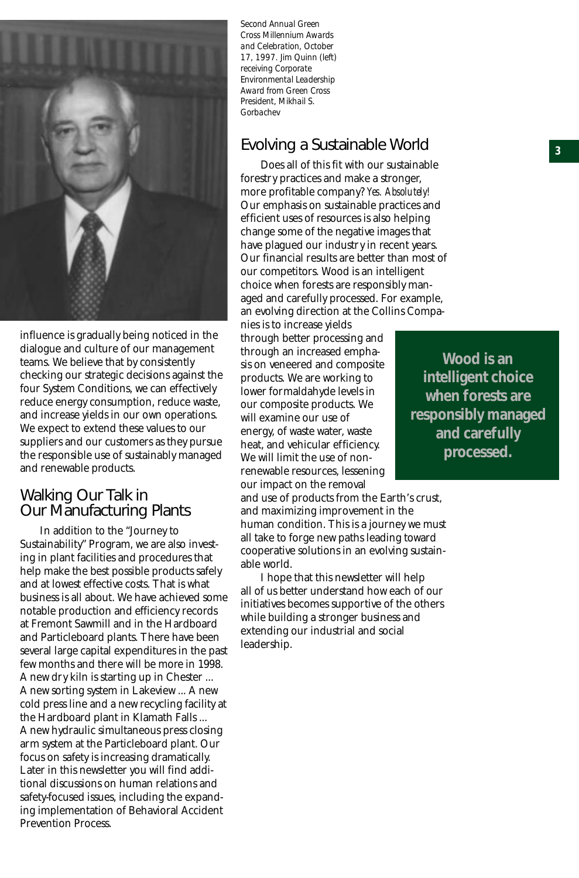

influence is gradually being noticed in the dialogue and culture of our management teams. We believe that by consistently checking our strategic decisions against the four System Conditions, we can effectively reduce energy consumption, reduce waste, and increase yields in our own operations. We expect to extend these values to our suppliers and our customers as they pursue the responsible use of sustainably managed and renewable products.

#### Walking Our Talk in Our Manufacturing Plants

In addition to the "Journey to Sustainability" Program, we are also investing in plant facilities and procedures that help make the best possible products safely and at lowest effective costs. That is what business is all about. We have achieved some notable production and efficiency records at Fremont Sawmill and in the Hardboard and Particleboard plants. There have been several large capital expenditures in the past few months and there will be more in 1998. A new dry kiln is starting up in Chester ... A new sorting system in Lakeview ... A new cold press line and a new recycling facility at the Hardboard plant in Klamath Falls ... A new hydraulic simultaneous press closing arm system at the Particleboard plant. Our focus on safety is increasing dramatically. Later in this newsletter you will find additional discussions on human relations and safety-focused issues, including the expanding implementation of Behavioral Accident Prevention Process.

*Second Annual Green Cross Millennium Awards and Celebration, October 17, 1997. Jim Quinn (left) receiving Corporate Environmental Leadership Award from Green Cross President, Mikhail S. Gorbachev*

#### Evolving a Sustainable World

Does all of this fit with our sustainable forestry practices and make a stronger, more profitable company? *Yes. Absolutely!* Our emphasis on sustainable practices and efficient uses of resources is also helping change some of the negative images that have plagued our industry in recent years. Our financial results are better than most of our competitors. Wood is an intelligent choice when forests are responsibly managed and carefully processed. For example, an evolving direction at the Collins Companies is to increase yields

through better processing and through an increased emphasis on veneered and composite products. We are working to lower formaldahyde levels in our composite products. We will examine our use of energy, of waste water, waste heat, and vehicular efficiency. We will limit the use of nonrenewable resources, lessening our impact on the removal

and use of products from the Earth's crust, and maximizing improvement in the human condition. This is a journey we must all take to forge new paths leading toward cooperative solutions in an evolving sustainable world.

I hope that this newsletter will help all of us better understand how each of our initiatives becomes supportive of the others while building a stronger business and extending our industrial and social leadership.

**Wood is an intelligent choice when forests are responsibly managed and carefully processed.**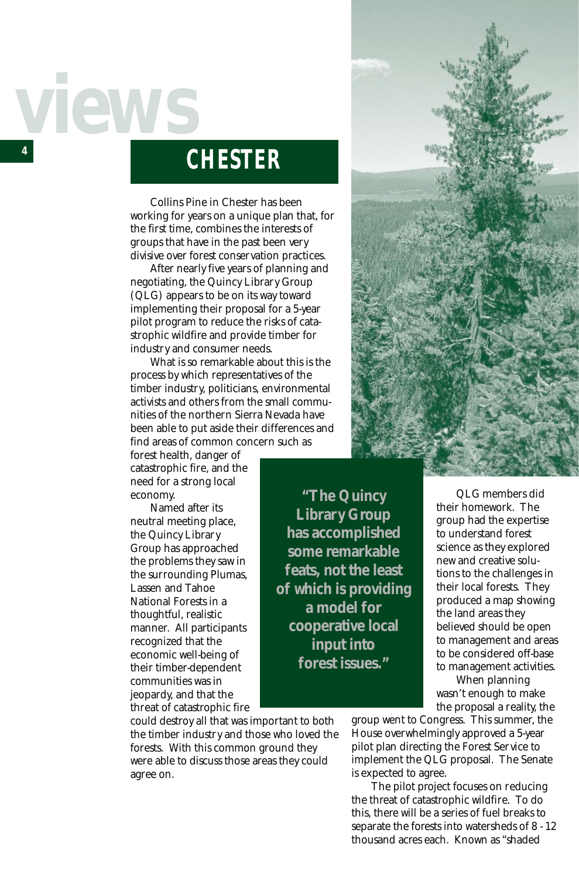# *4 views*

## **CHESTER**

Collins Pine in Chester has been working for years on a unique plan that, for the first time, combines the interests of groups that have in the past been very divisive over forest conservation practices.

After nearly five years of planning and negotiating, the Quincy Library Group (QLG) appears to be on its way toward implementing their proposal for a 5-year pilot program to reduce the risks of catastrophic wildfire and provide timber for industry and consumer needs.

What is so remarkable about this is the process by which representatives of the timber industry, politicians, environmental activists and others from the small communities of the northern Sierra Nevada have been able to put aside their differences and find areas of common concern such as

forest health, danger of catastrophic fire, and the need for a strong local economy.

Named after its neutral meeting place, the Quincy Library Group has approached the problems they saw in the surrounding Plumas, Lassen and Tahoe National Forests in a thoughtful, realistic manner. All participants recognized that the economic well-being of their timber-dependent communities was in jeopardy, and that the threat of catastrophic fire

**has accomplished some remarkable feats, not the least of which is providing a model for cooperative local input into forest issues."**

**"The Quincy Library Group**

could destroy all that was important to both the timber industry and those who loved the forests. With this common ground they were able to discuss those areas they could agree on.



QLG members did their homework. The group had the expertise to understand forest science as they explored new and creative solutions to the challenges in their local forests. They produced a map showing the land areas they believed should be open to management and areas to be considered off-base to management activities.

When planning wasn't enough to make the proposal a reality, the

group went to Congress. This summer, the House overwhelmingly approved a 5-year pilot plan directing the Forest Service to implement the QLG proposal. The Senate is expected to agree.

The pilot project focuses on reducing the threat of catastrophic wildfire. To do this, there will be a series of fuel breaks to separate the forests into watersheds of 8 - 12 thousand acres each. Known as "shaded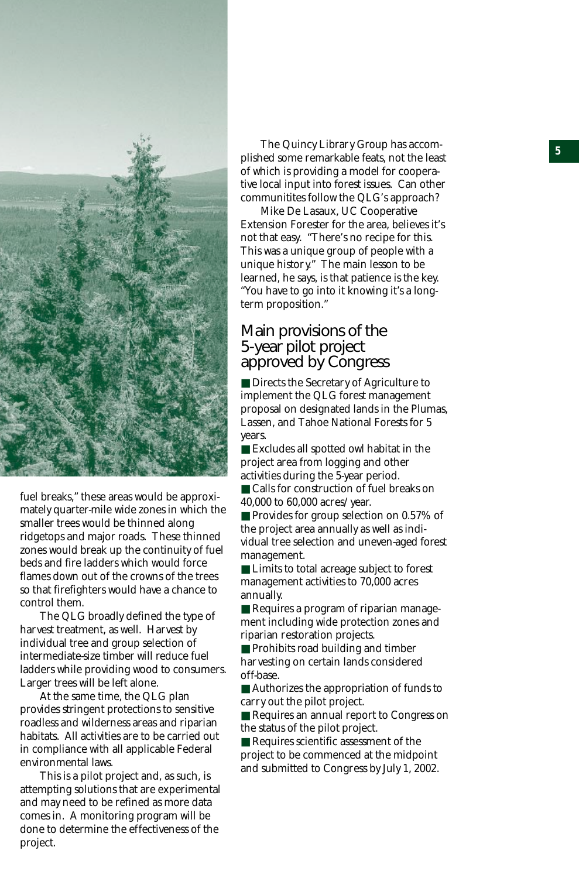

fuel breaks," these areas would be approximately quarter-mile wide zones in which the smaller trees would be thinned along ridgetops and major roads. These thinned zones would break up the continuity of fuel beds and fire ladders which would force flames down out of the crowns of the trees so that firefighters would have a chance to control them.

The QLG broadly defined the type of harvest treatment, as well. Harvest by individual tree and group selection of intermediate-size timber will reduce fuel ladders while providing wood to consumers. Larger trees will be left alone.

At the same time, the QLG plan provides stringent protections to sensitive roadless and wilderness areas and riparian habitats. All activities are to be carried out in compliance with all applicable Federal environmental laws.

This is a pilot project and, as such, is attempting solutions that are experimental and may need to be refined as more data comes in. A monitoring program will be done to determine the effectiveness of the project.

The Quincy Library Group has accomplished some remarkable feats, not the least of which is providing a model for cooperative local input into forest issues. Can other communitites follow the QLG's approach?

Mike De Lasaux, UC Cooperative Extension Forester for the area, believes it's not that easy. "There's no recipe for this. This was a unique group of people with a unique history." The main lesson to be learned, he says, is that patience is the key. "You have to go into it knowing it's a longterm proposition."

#### Main provisions of the 5-year pilot project approved by Congress

■ Directs the Secretary of Agriculture to implement the QLG forest management proposal on designated lands in the Plumas, Lassen, and Tahoe National Forests for 5 years.

■ Excludes all spotted owl habitat in the project area from logging and other activities during the 5-year period.

■ Calls for construction of fuel breaks on 40,000 to 60,000 acres/year.

■ Provides for group selection on 0.57% of the project area annually as well as individual tree selection and uneven-aged forest management.

■ Limits to total acreage subject to forest management activities to 70,000 acres annually.

■ Requires a program of riparian management including wide protection zones and riparian restoration projects.

■ Prohibits road building and timber harvesting on certain lands considered off-base.

■ Authorizes the appropriation of funds to carry out the pilot project.

■ Requires an annual report to Congress on the status of the pilot project.

■ Requires scientific assessment of the project to be commenced at the midpoint and submitted to Congress by July 1, 2002.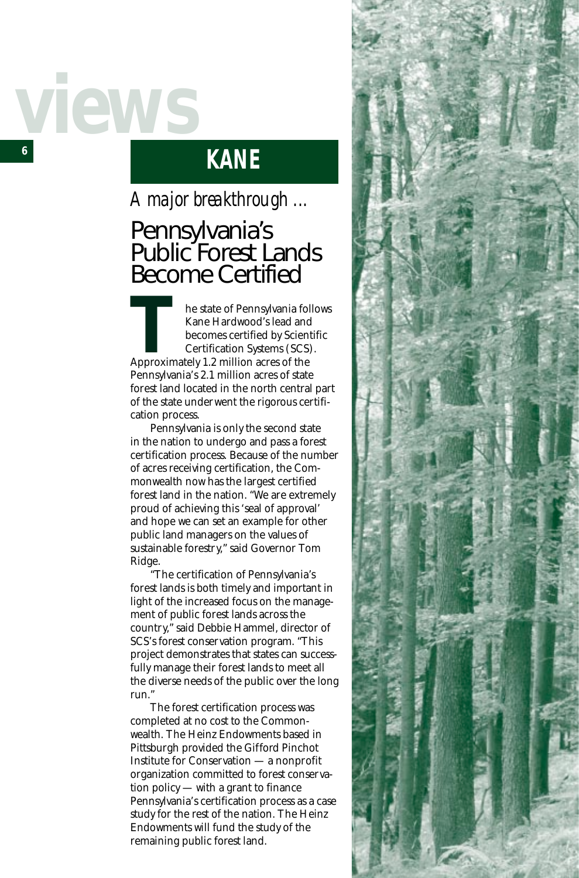## *6 views*

## **KANE**

## *A major breakthrough ...*

## Pennsylvania's Public Forest Lands Become Certified

he state of Pennsylvania follows Kane Hardwood's lead and becomes certified by Scientific Certification Systems (SCS). **Example 1.2 million acres of Pennsylvania for Kanel Hardwood's lead and becomes certified by Scien<br>Certification Systems (SCS)<br>Approximately 1.2 million acres of the<br>Pennsylvania's 2.1 million acres of state** Pennsylvania's 2.1 million acres of state forest land located in the north central part of the state underwent the rigorous certification process.

Pennsylvania is only the second state in the nation to undergo and pass a forest certification process. Because of the number of acres receiving certification, the Commonwealth now has the largest certified forest land in the nation. "We are extremely proud of achieving this 'seal of approval' and hope we can set an example for other public land managers on the values of sustainable forestry," said Governor Tom Ridge.

"The certification of Pennsylvania's forest lands is both timely and important in light of the increased focus on the management of public forest lands across the country," said Debbie Hammel, director of SCS's forest conservation program. "This project demonstrates that states can successfully manage their forest lands to meet all the diverse needs of the public over the long run."

The forest certification process was completed at no cost to the Commonwealth. The Heinz Endowments based in Pittsburgh provided the Gifford Pinchot Institute for Conservation — a nonprofit organization committed to forest conservation policy — with a grant to finance Pennsylvania's certification process as a case study for the rest of the nation. The Heinz Endowments will fund the study of the remaining public forest land.

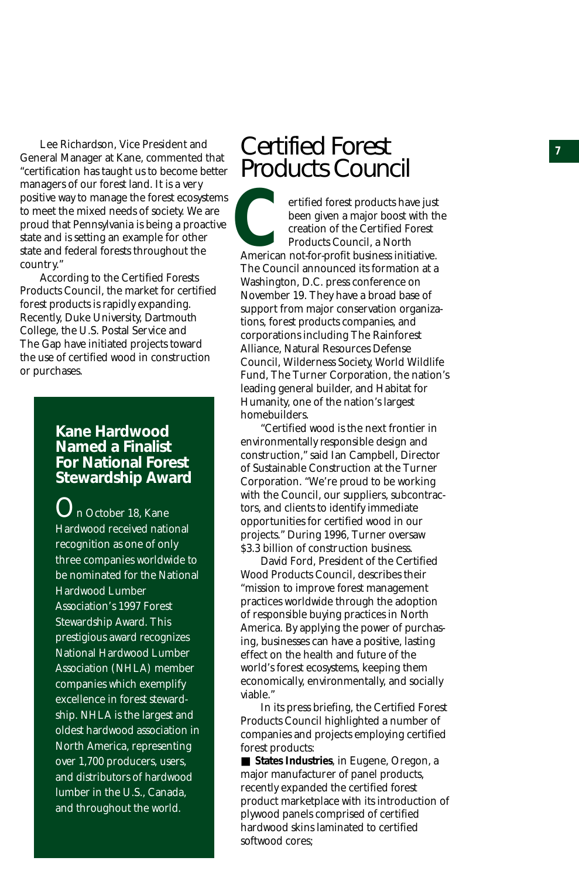Lee Richardson, Vice President and **Certified Forest** General Manager at Kane, commented that "certification has taught us to become better managers of our forest land. It is a very positive way to manage the forest ecosystems to meet the mixed needs of society. We are proud that Pennsylvania is being a proactive state and is setting an example for other state and federal forests throughout the country."

According to the Certified Forests Products Council, the market for certified forest products is rapidly expanding. Recently, Duke University, Dartmouth College, the U.S. Postal Service and The Gap have initiated projects toward the use of certified wood in construction or purchases.

#### **Kane Hardwood Named a Finalist For National Forest Stewardship Award**

 $\mathbf{O}_\text{n}$  October 18, Kane Hardwood received national recognition as one of only three companies worldwide to be nominated for the National Hardwood Lumber Association's 1997 Forest Stewardship Award. This prestigious award recognizes National Hardwood Lumber Association (NHLA) member companies which exemplify excellence in forest stewardship. NHLA is the largest and oldest hardwood association in North America, representing over 1,700 producers, users, and distributors of hardwood lumber in the U.S., Canada, and throughout the world.

## Products Council

ertified forest products have just been given a major boost with the creation of the Certified Forest Products Council, a North American not-for-profit business initiative. The Council announced its formation at a Washington, D.C. press conference on November 19. They have a broad base of support from major conservation organizations, forest products companies, and corporations including The Rainforest Alliance, Natural Resources Defense Council, Wilderness Society, World Wildlife Fund, The Turner Corporation, the nation's leading general builder, and Habitat for Humanity, one of the nation's largest homebuilders. ertific<br>been<br>reatifican not-fic<br>creatifican not-fic<br>creatific production of the Council and<br>washington, D.<br>November 19. 7<br>support from n<br>tions, forest procorporations in<br>Alliance, Natural Council, Wilder<br>Fund, The Turn lea

"Certified wood is the next frontier in environmentally responsible design and construction," said Ian Campbell, Director of Sustainable Construction at the Turner Corporation. "We're proud to be working with the Council, our suppliers, subcontractors, and clients to identify immediate opportunities for certified wood in our projects." During 1996, Turner oversaw \$3.3 billion of construction business.

David Ford, President of the Certified Wood Products Council, describes their "mission to improve forest management practices worldwide through the adoption of responsible buying practices in North America. By applying the power of purchasing, businesses can have a positive, lasting effect on the health and future of the world's forest ecosystems, keeping them economically, environmentally, and socially viable."

In its press briefing, the Certified Forest Products Council highlighted a number of companies and projects employing certified forest products:

■ **States Industries**, in Eugene, Oregon, a major manufacturer of panel products, recently expanded the certified forest product marketplace with its introduction of plywood panels comprised of certified hardwood skins laminated to certified<br>softwood cores: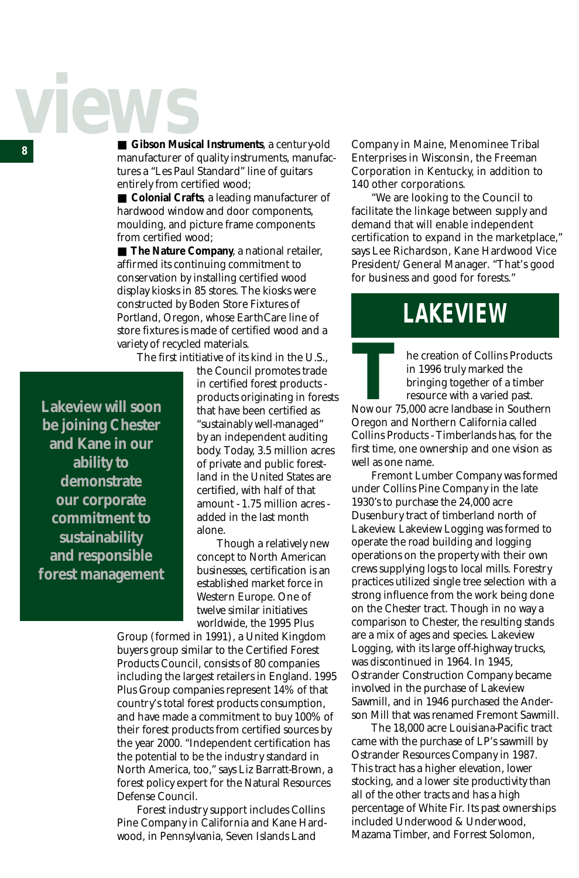# *view*

■ **Gibson Musical Instruments**, a century-old Company in Maine, Menominee Tribal<br>
■ **Gibson Musical Instruments** meantfee Fritannises in Wissonsin, the Freeman manufacturer of quality instruments, manufactures a "Les Paul Standard" line of guitars entirely from certified wood;

> ■ **Colonial Crafts**, a leading manufacturer of hardwood window and door components, moulding, and picture frame components from certified wood;

■ **The Nature Company**, a national retailer, affirmed its continuing commitment to conservation by installing certified wood display kiosks in 85 stores. The kiosks were constructed by Boden Store Fixtures of Portland, Oregon, whose EarthCare line of store fixtures is made of certified wood and a variety of recycled materials.

The first intitiative of its kind in the U.S.,

**Lakeview will soon be joining Chester and Kane in our ability to demonstrate our corporate commitment to sustainability and responsible forest management** the Council promotes trade in certified forest products products originating in forests that have been certified as "sustainably well-managed" by an independent auditing body. Today, 3.5 million acres of private and public forestland in the United States are certified, with half of that amount - 1.75 million acres added in the last month alone.

Though a relatively new concept to North American businesses, certification is an established market force in Western Europe. One of twelve similar initiatives worldwide, the 1995 Plus

Group (formed in 1991), a United Kingdom buyers group similar to the Certified Forest Products Council, consists of 80 companies including the largest retailers in England. 1995 Plus Group companies represent 14% of that country's total forest products consumption, and have made a commitment to buy 100% of their forest products from certified sources by the year 2000. "Independent certification has the potential to be the industry standard in North America, too," says Liz Barratt-Brown, a forest policy expert for the Natural Resources Defense Council.

Forest industry support includes Collins Pine Company in California and Kane Hardwood, in Pennsylvania, Seven Islands Land

Enterprises in Wisconsin, the Freeman Corporation in Kentucky, in addition to 140 other corporations.

"We are looking to the Council to facilitate the linkage between supply and demand that will enable independent certification to expand in the marketplace," says Lee Richardson, Kane Hardwood Vice President/General Manager. "That's good for business and good for forests."

## **LAKEVIEW**

he creation of Collins Products in 1996 truly marked the bringing together of a timber resource with a varied past. Now our 75,000 acre landbase in Southern<br>
Now our 75,000 acre landbase in Southern<br>
The Contract of a timber<br>
The Contract of Southern<br>
The Contract of Southern Contract of Southern<br>
Contract of Mathem Colifornia called Oregon and Northern California called Collins Products - Timberlands has, for the first time, one ownership and one vision as well as one name.

Fremont Lumber Company was formed under Collins Pine Company in the late 1930's to purchase the 24,000 acre Dusenbury tract of timberland north of Lakeview. Lakeview Logging was formed to operate the road building and logging operations on the property with their own crews supplying logs to local mills. Forestry practices utilized single tree selection with a strong influence from the work being done on the Chester tract. Though in no way a comparison to Chester, the resulting stands are a mix of ages and species. Lakeview Logging, with its large off-highway trucks, was discontinued in 1964. In 1945, Ostrander Construction Company became involved in the purchase of Lakeview Sawmill, and in 1946 purchased the Anderson Mill that was renamed Fremont Sawmill.

The 18,000 acre Louisiana-Pacific tract came with the purchase of LP's sawmill by Ostrander Resources Company in 1987. This tract has a higher elevation, lower stocking, and a lower site productivity than all of the other tracts and has a high percentage of White Fir. Its past ownerships included Underwood & Underwood, Mazama Timber, and Forrest Solomon,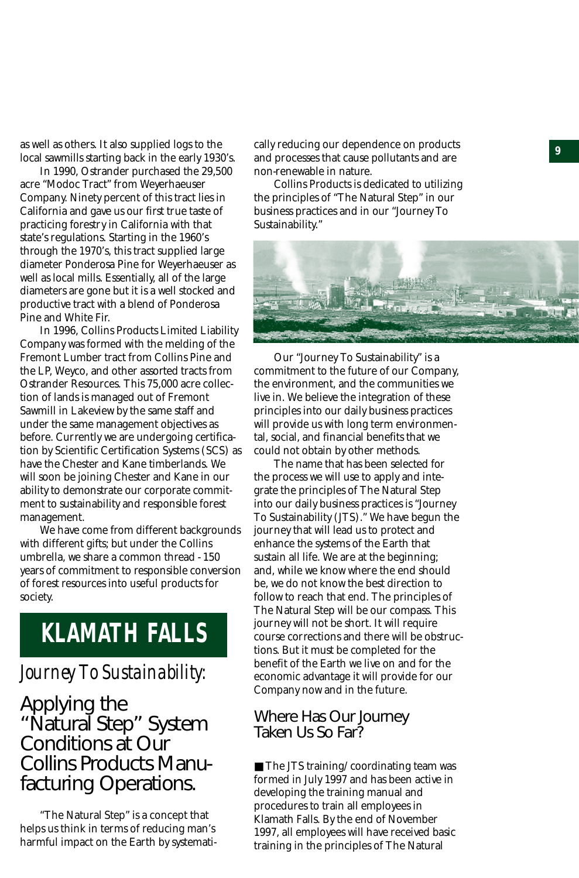as well as others. It also supplied logs to the cally reducing our dependence on products and a second state of <br>less learnilly stating healt in the sen<sup>ty 1020</sup>'s cand presence that saves pollutants and are local sawmills starting back in the early 1930's.

In 1990, Ostrander purchased the 29,500 acre "Modoc Tract" from Weyerhaeuser Company. Ninety percent of this tract lies in California and gave us our first true taste of practicing forestry in California with that state's regulations. Starting in the 1960's through the 1970's, this tract supplied large diameter Ponderosa Pine for Weyerhaeuser as well as local mills. Essentially, all of the large diameters are gone but it is a well stocked and productive tract with a blend of Ponderosa Pine and White Fir.

In 1996, Collins Products Limited Liability Company was formed with the melding of the Fremont Lumber tract from Collins Pine and the LP, Weyco, and other assorted tracts from Ostrander Resources. This 75,000 acre collection of lands is managed out of Fremont Sawmill in Lakeview by the same staff and under the same management objectives as before. Currently we are undergoing certification by Scientific Certification Systems (SCS) as have the Chester and Kane timberlands. We will soon be joining Chester and Kane in our ability to demonstrate our corporate commitment to sustainability and responsible forest management.

We have come from different backgrounds with different gifts; but under the Collins umbrella, we share a common thread - 150 years of commitment to responsible conversion of forest resources into useful products for society.

## **KLAMATH FALLS**

#### *Journey To Sustainability:*

Applying the "Natural Step" System Conditions at Our Collins Products Manufacturing Operations.

"The Natural Step" is a concept that helps us think in terms of reducing man's harmful impact on the Earth by systemati-

and processes that cause pollutants and are non-renewable in nature.

Collins Products is dedicated to utilizing the principles of "The Natural Step" in our business practices and in our "Journey To Sustainability."



Our "Journey To Sustainability" is a commitment to the future of our Company, the environment, and the communities we live in. We believe the integration of these principles into our daily business practices will provide us with long term environmental, social, and financial benefits that we could not obtain by other methods.

The name that has been selected for the process we will use to apply and integrate the principles of The Natural Step into our daily business practices is "Journey To Sustainability (JTS)." We have begun the journey that will lead us to protect and enhance the systems of the Earth that sustain all life. We are at the beginning; and, while we know where the end should be, we do not know the best direction to follow to reach that end. The principles of The Natural Step will be our compass. This journey will not be short. It will require course corrections and there will be obstructions. But it must be completed for the benefit of the Earth we live on and for the economic advantage it will provide for our Company now and in the future.

Where Has Our Journey Taken Us So Far?

■ The JTS training/coordinating team was formed in July 1997 and has been active in developing the training manual and procedures to train all employees in Klamath Falls. By the end of November 1997, all employees will have received basic training in the principles of The Natural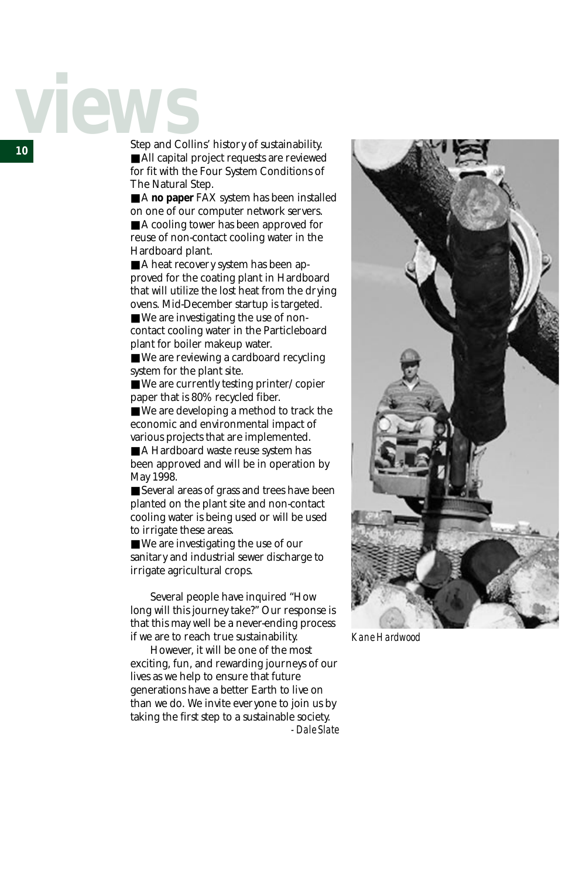# *view*

*<sup>10</sup>* Step and Collins' history of sustainability. ■ All capital project requests are reviewed for fit with the Four System Conditions of The Natural Step.

> ■ A **no paper** FAX system has been installed on one of our computer network servers.

■ A cooling tower has been approved for reuse of non-contact cooling water in the Hardboard plant.

■ A heat recovery system has been approved for the coating plant in Hardboard that will utilize the lost heat from the drying ovens. Mid-December startup is targeted.

■ We are investigating the use of noncontact cooling water in the Particleboard plant for boiler makeup water.

■ We are reviewing a cardboard recycling system for the plant site.

■ We are currently testing printer/copier paper that is 80% recycled fiber.

■ We are developing a method to track the economic and environmental impact of various projects that are implemented.

■ A Hardboard waste reuse system has been approved and will be in operation by May 1998.

■ Several areas of grass and trees have been planted on the plant site and non-contact cooling water is being used or will be used to irrigate these areas.

■ We are investigating the use of our sanitary and industrial sewer discharge to irrigate agricultural crops.

Several people have inquired "How long will this journey take?" Our response is that this may well be a never-ending process if we are to reach true sustainability.

However, it will be one of the most exciting, fun, and rewarding journeys of our lives as we help to ensure that future generations have a better Earth to live on than we do. We invite everyone to join us by taking the first step to a sustainable society. *- Dale Slate*



*Kane Hardwood*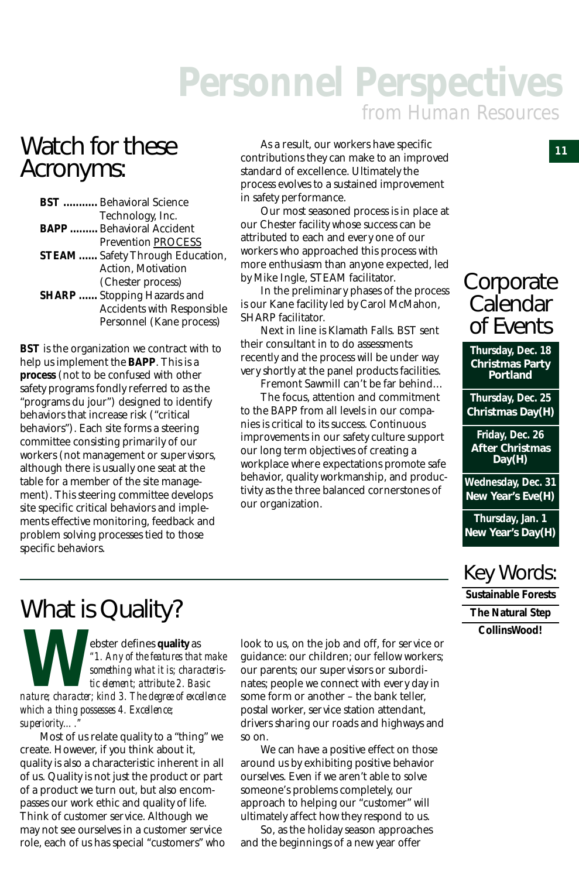## *Personnel Perspectives from Human Resources*

## Watch for these Acronyms:

| <b>BST</b> Behavioral Science           |
|-----------------------------------------|
| Technology, Inc.                        |
| <b>BAPP </b> Behavioral Accident        |
| <b>Prevention PROCESS</b>               |
| <b>STEAM </b> Safety Through Education, |
| Action, Motivation                      |
| (Chester process)                       |
| <b>SHARP</b> Stopping Hazards and       |
| <b>Accidents with Responsible</b>       |
| Personnel (Kane process)                |
|                                         |

**BST** is the organization we contract with to help us implement the **BAPP**. This is a **process** (not to be confused with other safety programs fondly referred to as the "programs du jour") designed to identify behaviors that increase risk ("critical behaviors"). Each site forms a steering committee consisting primarily of our workers (not management or supervisors, although there is usually one seat at the table for a member of the site management). This steering committee develops site specific critical behaviors and implements effective monitoring, feedback and problem solving processes tied to those specific behaviors.

As a result, our workers have specific contributions they can make to an improved standard of excellence. Ultimately the process evolves to a sustained improvement in safety performance.

Our most seasoned process is in place at our Chester facility whose success can be attributed to each and every one of our workers who approached this process with more enthusiasm than anyone expected, led by Mike Ingle, STEAM facilitator.

In the preliminary phases of the process is our Kane facility led by Carol McMahon, SHARP facilitator.

Next in line is Klamath Falls. BST sent their consultant in to do assessments recently and the process will be under way very shortly at the panel products facilities.

Fremont Sawmill can't be far behind… The focus, attention and commitment to the BAPP from all levels in our companies is critical to its success. Continuous improvements in our safety culture support our long term objectives of creating a workplace where expectations promote safe

behavior, quality workmanship, and productivity as the three balanced cornerstones of our organization.

## **Corporate** Calendar of Events

**Thursday, Dec. 18 Christmas Party Portland**

**Thursday, Dec. 25 Christmas Day(H)**

**Friday, Dec. 26 After Christmas Day(H)**

**Wednesday, Dec. 31 New Year's Eve(H)**

**Thursday, Jan. 1 New Year's Day(H)**

### Key Words:

**Sustainable Forests The Natural Step CollinsWood!**

## What is Quality?

ebster defines **quality** as *"1. Any of the features that make something what it is; characteristic element; attribute 2. Basic* **h**<br>*nature; character; kind 3. The degree of excellence***<br>** *nature; character; kind 3. The degree of excellence which a thing possesses 4. Excellence; superiority…."*

Most of us relate quality to a "thing" we create. However, if you think about it, quality is also a characteristic inherent in all of us. Quality is not just the product or part of a product we turn out, but also encompasses our work ethic and quality of life. Think of customer service. Although we may not see ourselves in a customer service role, each of us has special "customers" who look to us, on the job and off, for service or guidance: our children; our fellow workers; our parents; our supervisors or subordinates; people we connect with every day in some form or another – the bank teller, postal worker, service station attendant, drivers sharing our roads and highways and so on.

We can have a positive effect on those around us by exhibiting positive behavior ourselves. Even if we aren't able to solve someone's problems completely, our approach to helping our "customer" will ultimately affect how they respond to us.

So, as the holiday season approaches and the beginnings of a new year offer